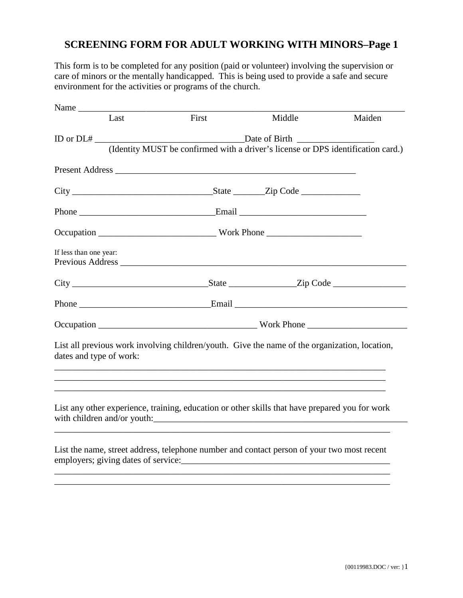# **SCREENING FORM FOR ADULT WORKING WITH MINORS–Page 1**

This form is to be completed for any position (paid or volunteer) involving the supervision or care of minors or the mentally handicapped. This is being used to provide a safe and secure environment for the activities or programs of the church.

|                                                                                  | Name |                                                                                                |        |        |
|----------------------------------------------------------------------------------|------|------------------------------------------------------------------------------------------------|--------|--------|
|                                                                                  | Last | First                                                                                          | Middle | Maiden |
|                                                                                  |      |                                                                                                |        |        |
| (Identity MUST be confirmed with a driver's license or DPS identification card.) |      |                                                                                                |        |        |
|                                                                                  |      | Present Address                                                                                |        |        |
|                                                                                  |      |                                                                                                |        |        |
|                                                                                  |      |                                                                                                |        |        |
|                                                                                  |      |                                                                                                |        |        |
| If less than one year:                                                           |      |                                                                                                |        |        |
|                                                                                  |      |                                                                                                |        |        |
|                                                                                  |      | Phone Email Email                                                                              |        |        |
|                                                                                  |      |                                                                                                |        |        |
| dates and type of work:                                                          |      | List all previous work involving children/youth. Give the name of the organization, location,  |        |        |
|                                                                                  |      | List any other experience, training, education or other skills that have prepared you for work |        |        |
|                                                                                  |      | List the name, street address, telephone number and contact person of your two most recent     |        |        |
|                                                                                  |      |                                                                                                |        |        |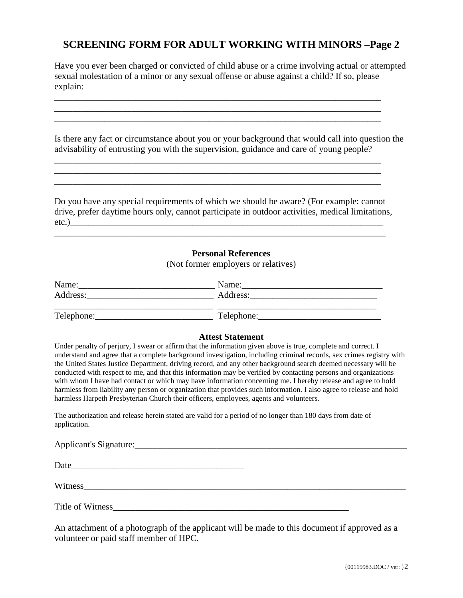## **SCREENING FORM FOR ADULT WORKING WITH MINORS –Page 2**

Have you ever been charged or convicted of child abuse or a crime involving actual or attempted sexual molestation of a minor or any sexual offense or abuse against a child? If so, please explain:

\_\_\_\_\_\_\_\_\_\_\_\_\_\_\_\_\_\_\_\_\_\_\_\_\_\_\_\_\_\_\_\_\_\_\_\_\_\_\_\_\_\_\_\_\_\_\_\_\_\_\_\_\_\_\_\_\_\_\_\_\_\_\_\_\_\_\_\_\_\_\_\_ \_\_\_\_\_\_\_\_\_\_\_\_\_\_\_\_\_\_\_\_\_\_\_\_\_\_\_\_\_\_\_\_\_\_\_\_\_\_\_\_\_\_\_\_\_\_\_\_\_\_\_\_\_\_\_\_\_\_\_\_\_\_\_\_\_\_\_\_\_\_\_\_ \_\_\_\_\_\_\_\_\_\_\_\_\_\_\_\_\_\_\_\_\_\_\_\_\_\_\_\_\_\_\_\_\_\_\_\_\_\_\_\_\_\_\_\_\_\_\_\_\_\_\_\_\_\_\_\_\_\_\_\_\_\_\_\_\_\_\_\_\_\_\_\_

\_\_\_\_\_\_\_\_\_\_\_\_\_\_\_\_\_\_\_\_\_\_\_\_\_\_\_\_\_\_\_\_\_\_\_\_\_\_\_\_\_\_\_\_\_\_\_\_\_\_\_\_\_\_\_\_\_\_\_\_\_\_\_\_\_\_\_\_\_\_\_\_

\_\_\_\_\_\_\_\_\_\_\_\_\_\_\_\_\_\_\_\_\_\_\_\_\_\_\_\_\_\_\_\_\_\_\_\_\_\_\_\_\_\_\_\_\_\_\_\_\_\_\_\_\_\_\_\_\_\_\_\_\_\_\_\_\_\_\_\_\_\_\_\_

Is there any fact or circumstance about you or your background that would call into question the advisability of entrusting you with the supervision, guidance and care of young people?

Do you have any special requirements of which we should be aware? (For example: cannot drive, prefer daytime hours only, cannot participate in outdoor activities, medical limitations,  $etc.)$   $\qquad \qquad$ 

\_\_\_\_\_\_\_\_\_\_\_\_\_\_\_\_\_\_\_\_\_\_\_\_\_\_\_\_\_\_\_\_\_\_\_\_\_\_\_\_\_\_\_\_\_\_\_\_\_\_\_\_\_\_\_\_\_\_\_\_\_\_\_\_\_\_\_\_\_\_\_\_\_

### **Personal References**

(Not former employers or relatives)

| Name:      | Name:      |  |
|------------|------------|--|
| Address:   | Address:   |  |
| Telephone: | Telephone: |  |

#### **Attest Statement**

Under penalty of perjury, I swear or affirm that the information given above is true, complete and correct. I understand and agree that a complete background investigation, including criminal records, sex crimes registry with the United States Justice Department, driving record, and any other background search deemed necessary will be conducted with respect to me, and that this information may be verified by contacting persons and organizations with whom I have had contact or which may have information concerning me. I hereby release and agree to hold harmless from liability any person or organization that provides such information. I also agree to release and hold harmless Harpeth Presbyterian Church their officers, employees, agents and volunteers.

The authorization and release herein stated are valid for a period of no longer than 180 days from date of application.

| Date    |  |
|---------|--|
| Witness |  |
|         |  |

An attachment of a photograph of the applicant will be made to this document if approved as a volunteer or paid staff member of HPC.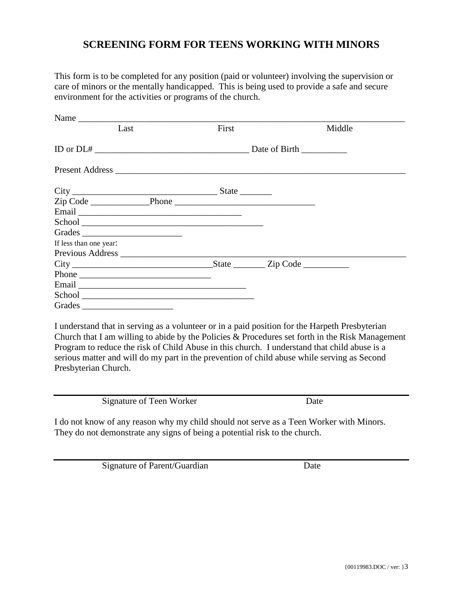### **SCREENING FORM FOR TEENS WORKING WITH MINORS**

This form is to be completed for any position (paid or volunteer) involving the supervision or care of minors or the mentally handicapped. This is being used to provide a safe and secure environment for the activities or programs of the church.

| Name $\frac{1}{\sqrt{1-\frac{1}{2}}\left(1-\frac{1}{2}\right)}$<br>Last | First | Middle |
|-------------------------------------------------------------------------|-------|--------|
| ID or DL#                                                               |       |        |
|                                                                         |       |        |
|                                                                         |       |        |
|                                                                         |       |        |
|                                                                         |       |        |
|                                                                         |       |        |
| Grades                                                                  |       |        |
| If less than one year:                                                  |       |        |
|                                                                         |       |        |
|                                                                         |       |        |
| Phone                                                                   |       |        |
|                                                                         |       |        |
|                                                                         |       |        |
| Grades                                                                  |       |        |

Church that I am willing to abide by the Policies & Procedures set forth in the Risk Management Program to reduce the risk of Child Abuse in this church. I understand that child abuse is a serious matter and will do my part in the prevention of child abuse while serving as Second Presbyterian Church.

| Signature of Teen Worker | Jate |
|--------------------------|------|
|                          |      |
|                          |      |

I do not know of any reason why my child should not serve as a Teen Worker with Minors. They do not demonstrate any signs of being a potential risk to the church.

Signature of Parent/Guardian Date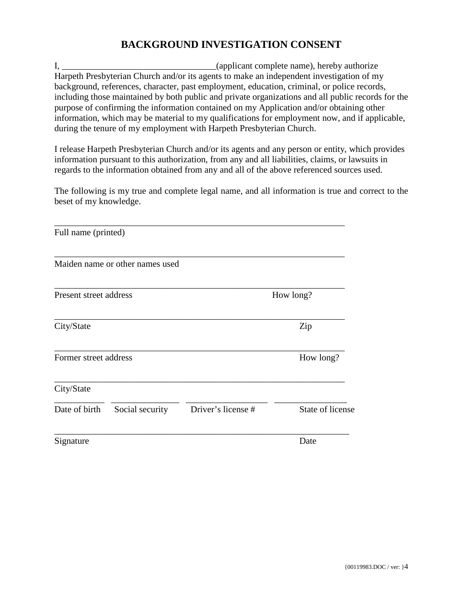# **BACKGROUND INVESTIGATION CONSENT**

I, \_\_\_\_\_\_\_\_\_\_\_\_\_\_\_\_\_\_\_\_\_\_\_\_\_\_\_\_\_\_\_\_\_\_(applicant complete name), hereby authorize Harpeth Presbyterian Church and/or its agents to make an independent investigation of my background, references, character, past employment, education, criminal, or police records, including those maintained by both public and private organizations and all public records for the purpose of confirming the information contained on my Application and/or obtaining other information, which may be material to my qualifications for employment now, and if applicable, during the tenure of my employment with Harpeth Presbyterian Church.

I release Harpeth Presbyterian Church and/or its agents and any person or entity, which provides information pursuant to this authorization, from any and all liabilities, claims, or lawsuits in regards to the information obtained from any and all of the above referenced sources used.

The following is my true and complete legal name, and all information is true and correct to the beset of my knowledge.

| Full name (printed)    |                                 |                    |                  |
|------------------------|---------------------------------|--------------------|------------------|
|                        | Maiden name or other names used |                    |                  |
| Present street address |                                 |                    | How long?        |
| City/State             |                                 |                    | Zip              |
| Former street address  |                                 |                    | How long?        |
| City/State             |                                 |                    |                  |
| Date of birth          | Social security                 | Driver's license # | State of license |
| Signature              |                                 |                    | Date             |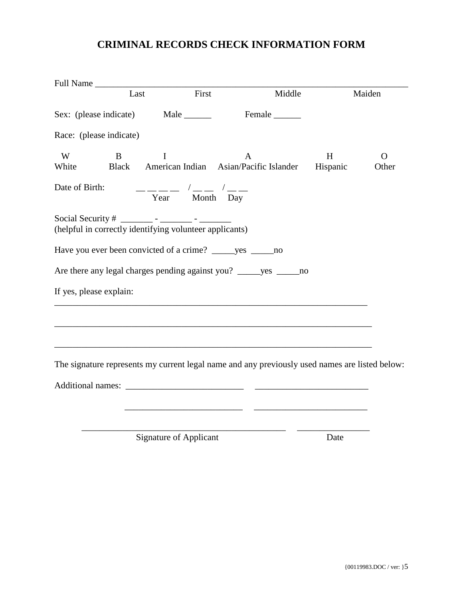# **CRIMINAL RECORDS CHECK INFORMATION FORM**

|                         | Full Name |                                                                          |                                                                                                |               |                   |
|-------------------------|-----------|--------------------------------------------------------------------------|------------------------------------------------------------------------------------------------|---------------|-------------------|
|                         | Last      | First                                                                    | Middle                                                                                         |               | Maiden            |
|                         |           |                                                                          |                                                                                                |               |                   |
| Race: (please indicate) |           |                                                                          |                                                                                                |               |                   |
| W<br>White              | B         | $\mathbf I$<br>Black American Indian Asian/Pacific Islander              | A                                                                                              | H<br>Hispanic | $\Omega$<br>Other |
| Date of Birth:          |           | $-\frac{1}{\text{Year}}$ $\frac{1}{\text{Month}}$ $\frac{1}{\text{Day}}$ |                                                                                                |               |                   |
|                         |           | (helpful in correctly identifying volunteer applicants)                  |                                                                                                |               |                   |
|                         |           | Have you ever been convicted of a crime? _______ yes _______ no          |                                                                                                |               |                   |
|                         |           |                                                                          | Are there any legal charges pending against you? ______ yes ______ no                          |               |                   |
| If yes, please explain: |           |                                                                          |                                                                                                |               |                   |
|                         |           |                                                                          |                                                                                                |               |                   |
|                         |           |                                                                          |                                                                                                |               |                   |
|                         |           |                                                                          | The signature represents my current legal name and any previously used names are listed below: |               |                   |
|                         |           |                                                                          |                                                                                                |               |                   |
|                         |           |                                                                          |                                                                                                |               |                   |
|                         |           | <b>Signature of Applicant</b>                                            |                                                                                                | Date          |                   |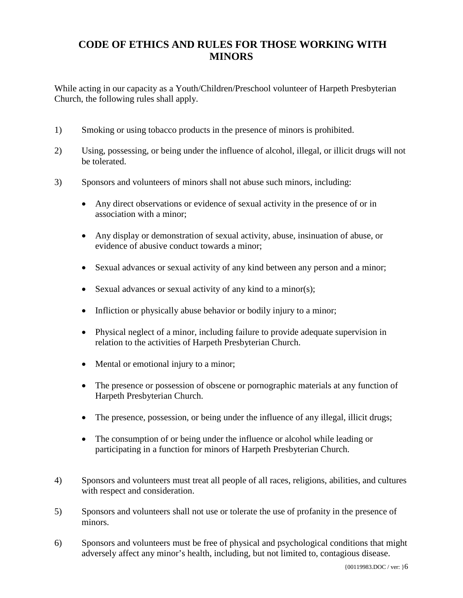# **CODE OF ETHICS AND RULES FOR THOSE WORKING WITH MINORS**

While acting in our capacity as a Youth/Children/Preschool volunteer of Harpeth Presbyterian Church, the following rules shall apply.

- 1) Smoking or using tobacco products in the presence of minors is prohibited.
- 2) Using, possessing, or being under the influence of alcohol, illegal, or illicit drugs will not be tolerated.
- 3) Sponsors and volunteers of minors shall not abuse such minors, including:
	- Any direct observations or evidence of sexual activity in the presence of or in association with a minor;
	- Any display or demonstration of sexual activity, abuse, insinuation of abuse, or evidence of abusive conduct towards a minor;
	- Sexual advances or sexual activity of any kind between any person and a minor;
	- Sexual advances or sexual activity of any kind to a minor(s);
	- Infliction or physically abuse behavior or bodily injury to a minor;
	- Physical neglect of a minor, including failure to provide adequate supervision in relation to the activities of Harpeth Presbyterian Church.
	- Mental or emotional injury to a minor;
	- The presence or possession of obscene or pornographic materials at any function of Harpeth Presbyterian Church.
	- The presence, possession, or being under the influence of any illegal, illicit drugs;
	- The consumption of or being under the influence or alcohol while leading or participating in a function for minors of Harpeth Presbyterian Church.
- 4) Sponsors and volunteers must treat all people of all races, religions, abilities, and cultures with respect and consideration.
- 5) Sponsors and volunteers shall not use or tolerate the use of profanity in the presence of minors.
- 6) Sponsors and volunteers must be free of physical and psychological conditions that might adversely affect any minor's health, including, but not limited to, contagious disease.